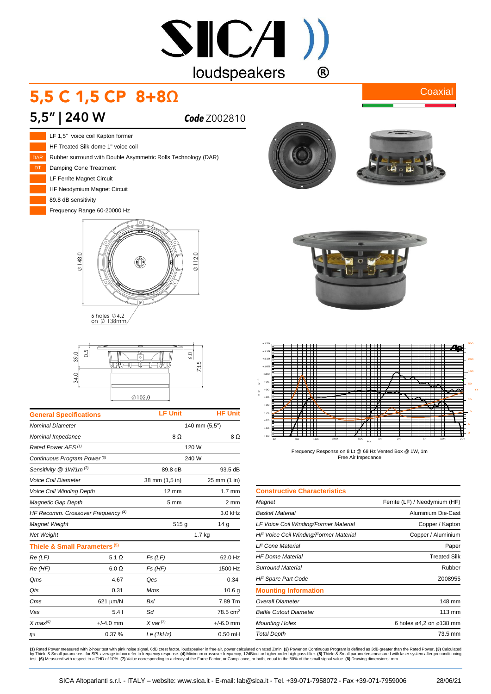# $SICA$ ) loudspeakers  $\bigcirc$

# 5,5 C 1,5 CP 8+8Ω

### **5,5" | 240 W** *Code* Z002810



HF Treated Silk dome 1" voice coil Rubber surround with Double Asymmetric Rolls Technology (DAR) Damping Cone Treatment LF Ferrite Magnet Circuit

HF Neodymium Magnet Circuit

89.8 dB sensitivity

Frequency Range 60-20000 Hz



6 holes  $\emptyset$  4.2<br>on  $\emptyset$  138mm



| <b>General Specifications</b>            |              | <b>LF Unit</b>        | <b>HF Unit</b>      |
|------------------------------------------|--------------|-----------------------|---------------------|
| <b>Nominal Diameter</b>                  |              | 140 mm (5,5")         |                     |
| Nominal Impedance                        |              | 8Ω                    | 8Ω                  |
| Rated Power AES <sup>(1)</sup>           |              | 120 W                 |                     |
| Continuous Program Power <sup>(2)</sup>  |              | 240 W                 |                     |
| Sensitivity @ 1W/1m <sup>(3)</sup>       |              | 89.8 dB               | 93.5 dB             |
| <b>Voice Coil Diameter</b>               |              | 38 mm (1,5 in)        | 25 mm (1 in)        |
| <b>Voice Coil Winding Depth</b>          |              | $12 \text{ mm}$       | $1.7$ mm            |
| Magnetic Gap Depth                       |              | 5 <sub>mm</sub>       | 2 mm                |
| HF Recomm. Crossover Frequency (4)       |              |                       | 3.0 kHz             |
| Magnet Weight                            |              | 515g                  | 14 <sub>g</sub>     |
| <b>Net Weight</b>                        |              | 1.7 kg                |                     |
| Thiele & Small Parameters <sup>(5)</sup> |              |                       |                     |
| Re(LF)                                   | 5.1 $\Omega$ | Fs(LF)                | 62.0 Hz             |
| Re (HF)                                  | $6.0 \Omega$ | Fs(HF)                | 1500 Hz             |
| Qms                                      | 4.67         | Qes                   | 0.34                |
| Qts                                      | 0.31         | Mms                   | 10.6 <sub>g</sub>   |
| Cms                                      | 621 µm/N     | <b>Bxl</b>            | 7.89 Tm             |
| Vas                                      | 5.41         | Sd                    | $78.5 \text{ cm}^2$ |
| $X$ max <sup>(6)</sup>                   | $+/-4.0$ mm  | $X \text{ var}^{(7)}$ | $+/-6.0$ mm         |
| $\eta$ o                                 | 0.37%        | Le (1kHz)             | $0.50$ mH           |
|                                          |              |                       |                     |



**Coaxial** 





Frequency Response on 8 Lt @ 68 Hz Vented Box @ 1W, 1m Free Air Impedance

| <b>Constructive Characteristics</b>   |                               |
|---------------------------------------|-------------------------------|
| Magnet                                | Ferrite (LF) / Neodymium (HF) |
| Basket Material                       | Aluminium Die-Cast            |
| LF Voice Coil Winding/Former Material | Copper / Kapton               |
| HF Voice Coil Winding/Former Material | Copper / Aluminium            |
| <b>LF Cone Material</b>               | Paper                         |
| HF Dome Material                      | <b>Treated Silk</b>           |
| Surround Material                     | Rubber                        |
| <b>HF Spare Part Code</b>             | Z008955                       |
| <b>Mounting Information</b>           |                               |
| Overall Diameter                      | 148 mm                        |
| <b>Baffle Cutout Diameter</b>         | 113 mm                        |
| <b>Mounting Holes</b>                 | 6 holes ø4,2 on ø138 mm       |
| <b>Total Depth</b>                    | 73.5 mm                       |

(1) Rated Power measured with 2-hour test with pink noise signal, 6dB crest factor, loudspeaker in free air, power calculated on rated 2min. (2) Power on Continuous Program is defined as 3dB greater than the Rated Power. (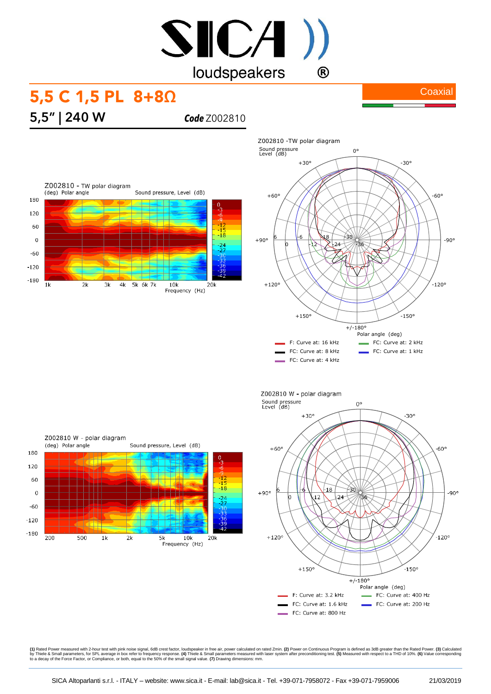# SICA) loudspeakers  $\bigcirc$

## 5,5 C 1,5 PL 8+8Ω

**Coaxial** 

**5,5" | 240 W** *Code* Z002810









**(1)** Rated Power measured with 2-hour test with pink noise signal, 6dB crest factor, loudspeaker in free air, power calculated on rated 2min. **(2)** Power on Continuous Program is defined as 3dB greater than the Rated Powe